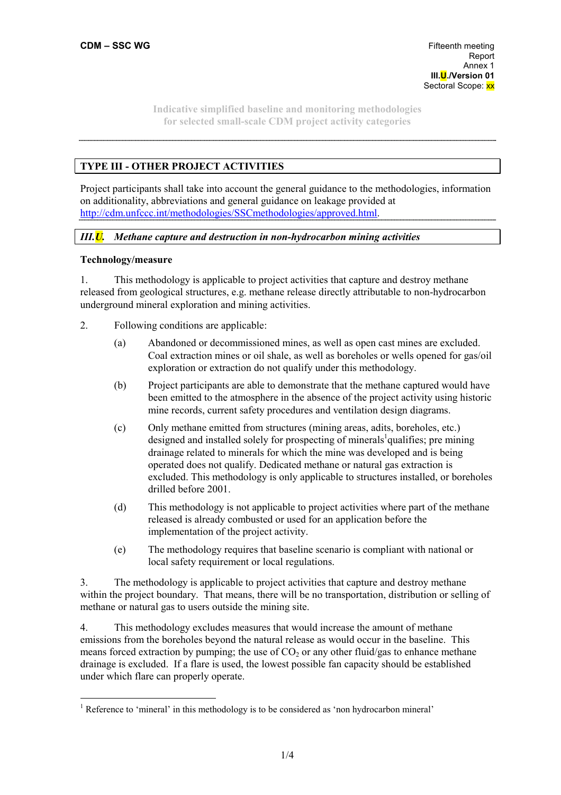# **TYPE III - OTHER PROJECT ACTIVITIES**

Project participants shall take into account the general guidance to the methodologies, information on additionality, abbreviations and general guidance on leakage provided at http://cdm.unfccc.int/methodologies/SSCmethodologies/approved.html.

# *III.U. Methane capture and destruction in non-hydrocarbon mining activities*

## **Technology/measure**

 $\overline{a}$ 

1. This methodology is applicable to project activities that capture and destroy methane released from geological structures, e.g. methane release directly attributable to non-hydrocarbon underground mineral exploration and mining activities.

- 2. Following conditions are applicable:
	- (a) Abandoned or decommissioned mines, as well as open cast mines are excluded. Coal extraction mines or oil shale, as well as boreholes or wells opened for gas/oil exploration or extraction do not qualify under this methodology.
	- (b) Project participants are able to demonstrate that the methane captured would have been emitted to the atmosphere in the absence of the project activity using historic mine records, current safety procedures and ventilation design diagrams.
	- (c) Only methane emitted from structures (mining areas, adits, boreholes, etc.) designed and installed solely for prospecting of minerals<sup>1</sup> qualifies; pre mining drainage related to minerals for which the mine was developed and is being operated does not qualify. Dedicated methane or natural gas extraction is excluded. This methodology is only applicable to structures installed, or boreholes drilled before 2001.
	- (d) This methodology is not applicable to project activities where part of the methane released is already combusted or used for an application before the implementation of the project activity.
	- (e) The methodology requires that baseline scenario is compliant with national or local safety requirement or local regulations.

3. The methodology is applicable to project activities that capture and destroy methane within the project boundary. That means, there will be no transportation, distribution or selling of methane or natural gas to users outside the mining site.

4. This methodology excludes measures that would increase the amount of methane emissions from the boreholes beyond the natural release as would occur in the baseline. This means forced extraction by pumping; the use of  $CO<sub>2</sub>$  or any other fluid/gas to enhance methane drainage is excluded. If a flare is used, the lowest possible fan capacity should be established under which flare can properly operate.

<sup>&</sup>lt;sup>1</sup> Reference to 'mineral' in this methodology is to be considered as 'non hydrocarbon mineral'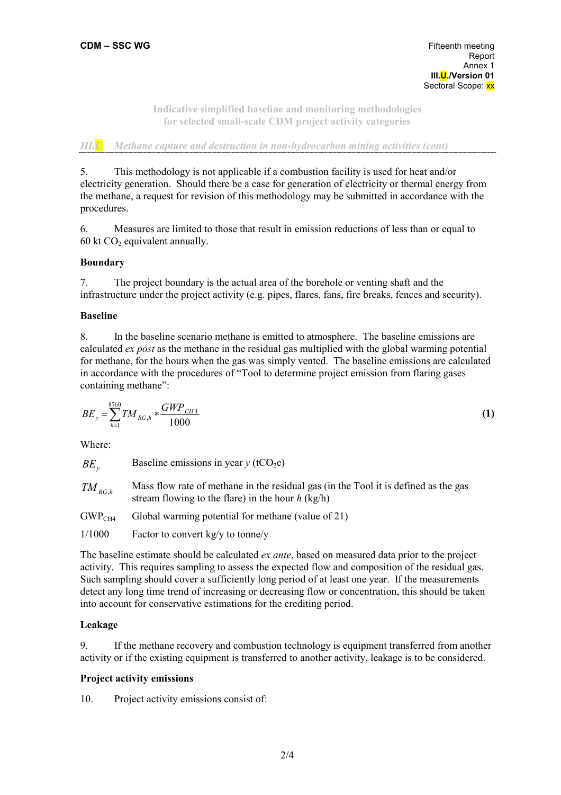*III.U Methane capture and destruction in non-hydrocarbon mining activities (cont)* 

5. This methodology is not applicable if a combustion facility is used for heat and/or electricity generation. Should there be a case for generation of electricity or thermal energy from the methane, a request for revision of this methodology may be submitted in accordance with the procedures.

6. Measures are limited to those that result in emission reductions of less than or equal to 60 kt  $CO<sub>2</sub>$  equivalent annually.

# **Boundary**

7. The project boundary is the actual area of the borehole or venting shaft and the infrastructure under the project activity (e.g. pipes, flares, fans, fire breaks, fences and security).

## **Baseline**

8. In the baseline scenario methane is emitted to atmosphere. The baseline emissions are calculated *ex post* as the methane in the residual gas multiplied with the global warming potential for methane, for the hours when the gas was simply vented. The baseline emissions are calculated in accordance with the procedures of "Tool to determine project emission from flaring gases containing methane":

$$
BE_y = \sum_{h=1}^{8760} TM_{RG,h} * \frac{GWP_{CH4}}{1000}
$$
 (1)

Where:

| $BE_{v}$                                 | Baseline emissions in year $y$ (tCO <sub>2</sub> e)                                                                                        |
|------------------------------------------|--------------------------------------------------------------------------------------------------------------------------------------------|
| $\mathit{TM}_{\scriptscriptstyle{RG,h}}$ | Mass flow rate of methane in the residual gas (in the Tool it is defined as the gas<br>stream flowing to the flare) in the hour $h$ (kg/h) |
| GWP <sub>CH4</sub>                       | Global warming potential for methane (value of 21)                                                                                         |

1/1000 Factor to convert kg/y to tonne/y

The baseline estimate should be calculated *ex ante*, based on measured data prior to the project activity. This requires sampling to assess the expected flow and composition of the residual gas. Such sampling should cover a sufficiently long period of at least one year. If the measurements detect any long time trend of increasing or decreasing flow or concentration, this should be taken into account for conservative estimations for the crediting period.

# **Leakage**

9. If the methane recovery and combustion technology is equipment transferred from another activity or if the existing equipment is transferred to another activity, leakage is to be considered.

# **Project activity emissions**

10. Project activity emissions consist of: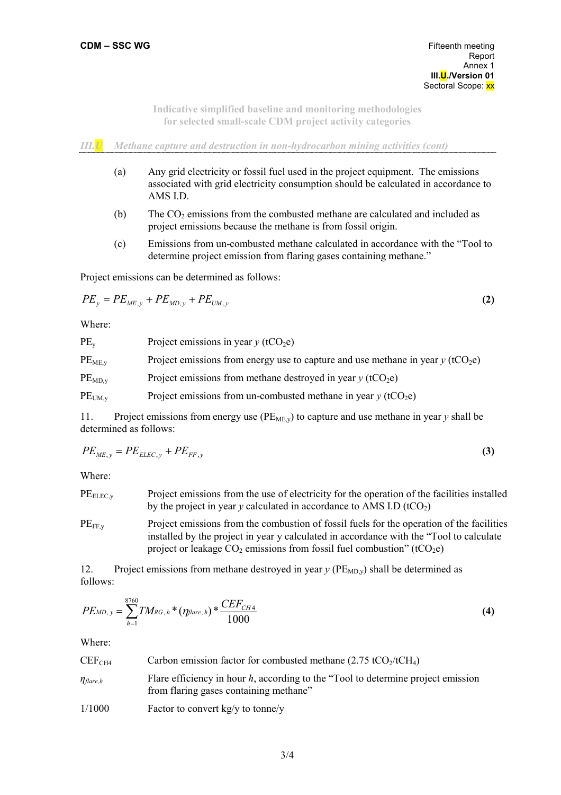*III.U Methane capture and destruction in non-hydrocarbon mining activities (cont)* 

- (a) Any grid electricity or fossil fuel used in the project equipment. The emissions associated with grid electricity consumption should be calculated in accordance to AMS I.D.
- (b) The  $CO<sub>2</sub>$  emissions from the combusted methane are calculated and included as project emissions because the methane is from fossil origin.
- (c) Emissions from un-combusted methane calculated in accordance with the "Tool to determine project emission from flaring gases containing methane."

Project emissions can be determined as follows:

$$
PE_{y} = PE_{ME,y} + PE_{MD,y} + PE_{UM,y}
$$
 (2)

Where:

| $PE_v$             | Project emissions in year $y$ (tCO <sub>2</sub> e)                                            |
|--------------------|-----------------------------------------------------------------------------------------------|
| PE <sub>ME.v</sub> | Project emissions from energy use to capture and use methane in year $y$ (tCO <sub>2</sub> e) |
| $PE_{MD,v}$        | Project emissions from methane destroyed in year $y$ (tCO <sub>2</sub> e)                     |
| $PE_{UM, v}$       | Project emissions from un-combusted methane in year $y$ (tCO <sub>2</sub> e)                  |

11. Project emissions from energy use  $(PE_{ME,y})$  to capture and use methane in year y shall be determined as follows:

$$
PE_{ME,y} = PE_{ELLC,y} + PE_{FF,y}
$$
\n
$$
\tag{3}
$$

Where:

 $PE<sub>ELECV</sub>$  Project emissions from the use of electricity for the operation of the facilities installed by the project in year  $y$  calculated in accordance to AMS I.D (tCO<sub>2</sub>)

 $PE_{FF,y}$  Project emissions from the combustion of fossil fuels for the operation of the facilities installed by the project in year y calculated in accordance with the "Tool to calculate project or leakage  $CO_2$  emissions from fossil fuel combustion" (t $CO_2e$ )

12. Project emissions from methane destroyed in year  $y$  ( $PE<sub>MD,y</sub>$ ) shall be determined as follows:

$$
PE_{MD, y} = \sum_{h=1}^{8760} TM_{RG, h} * (\eta_{flare, h}) * \frac{CEF_{CH4}}{1000}
$$
 (4)

Where:

| CEF <sub>CH4</sub> | Carbon emission factor for combusted methane $(2.75 \text{ tCO}_2/\text{tCH}_4)$ |
|--------------------|----------------------------------------------------------------------------------|
|--------------------|----------------------------------------------------------------------------------|

| $\eta_{\text{flare},h}$ | Flare efficiency in hour $h$ , according to the "Tool to determine project emission" |
|-------------------------|--------------------------------------------------------------------------------------|
|                         | from flaring gases containing methane"                                               |

1/1000 Factor to convert kg/y to tonne/y